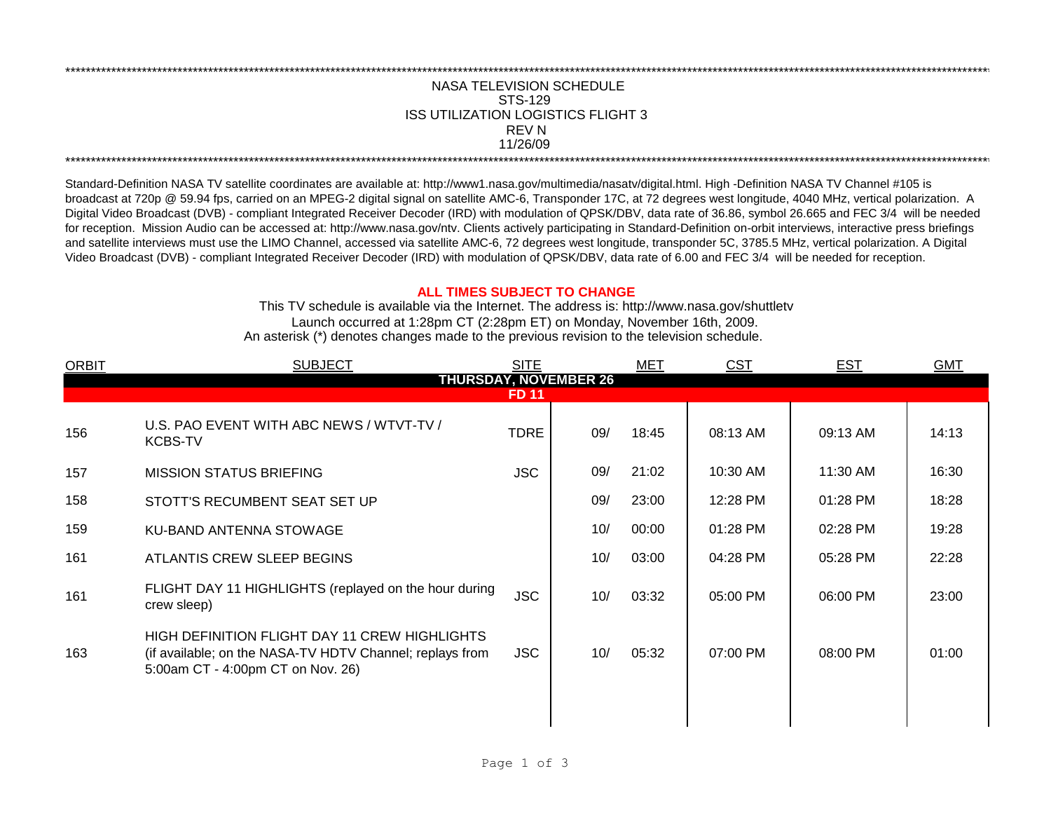## NASA TELEVISION SCHEDULE STS-129 REV N 11/26/09 \*\*\*\*\*\*\*\*\*\*\*\*\*\*\*\*\*\*\*\*\*\*\*\*\*\*\*\*\*\*\*\*\*\*\*\*\*\*\*\*\*\*\*\*\*\*\*\*\*\*\*\*\*\*\*\*\*\*\*\*\*\*\*\*\*\*\*\*\*\*\*\*\*\*\*\*\*\*\*\*\*\*\*\*\*\*\*\*\*\*\*\*\*\*\*\*\*\*\*\*\*\*\*\*\*\*\*\*\*\*\*\*\*\*\*\*\*\*\*\*\*\*\*\*\*\*\*\*\*\*\*\*\*\*\*\*\*\*\*\*\*\*\*\*\*\*\*\*\*\*\*\*\*\*\*\*\*\*\*\*\*\*\*\*\*\*\*\*\*\*\*\*\*\*\*\*\*\*\*\*\*\*\*\*\* ISS UTILIZATION LOGISTICS FLIGHT 3

\*\*\*\*\*\*\*\*\*\*\*\*\*\*\*\*\*\*\*\*\*\*\*\*\*\*\*\*\*\*\*\*\*\*\*\*\*\*\*\*\*\*\*\*\*\*\*\*\*\*\*\*\*\*\*\*\*\*\*\*\*\*\*\*\*\*\*\*\*\*\*\*\*\*\*\*\*\*\*\*\*\*\*\*\*\*\*\*\*\*\*\*\*\*\*\*\*\*\*\*\*\*\*\*\*\*\*\*\*\*\*\*\*\*\*\*\*\*\*\*\*\*\*\*\*\*\*\*\*\*\*\*\*\*\*\*\*\*\*\*\*\*\*\*\*\*\*\*\*\*\*\*\*\*\*\*\*\*\*\*\*\*\*\*\*\*\*\*\*\*\*\*\*\*\*\*\*\*\*\*\*\*\*\*\*

Standard-Definition NASA TV satellite coordinates are available at: http://www1.nasa.gov/multimedia/nasatv/digital.html. High -Definition NASA TV Channel #105 is broadcast at 720p @ 59.94 fps, carried on an MPEG-2 digital signal on satellite AMC-6, Transponder 17C, at 72 degrees west longitude, 4040 MHz, vertical polarization. A Digital Video Broadcast (DVB) - compliant Integrated Receiver Decoder (IRD) with modulation of QPSK/DBV, data rate of 36.86, symbol 26.665 and FEC 3/4 will be needed for reception. Mission Audio can be accessed at: http://www.nasa.gov/ntv. Clients actively participating in Standard-Definition on-orbit interviews, interactive press briefings and satellite interviews must use the LIMO Channel, accessed via satellite AMC-6, 72 degrees west longitude, transponder 5C, 3785.5 MHz, vertical polarization. A Digital Video Broadcast (DVB) - compliant Integrated Receiver Decoder (IRD) with modulation of QPSK/DBV, data rate of 6.00 and FEC 3/4 will be needed for reception.

## **ALL TIMES SUBJECT TO CHANGE**

Launch occurred at 1:28pm CT (2:28pm ET) on Monday, November 16th, 2009. An asterisk (\*) denotes changes made to the previous revision to the television schedule. This TV schedule is available via the Internet. The address is: http://www.nasa.gov/shuttletv

| <b>ORBIT</b> | <b>SUBJECT</b>                                                                                                                                 | <b>SITE</b>  |                              | <b>MET</b> | <b>CST</b> | <b>EST</b> | <b>GMT</b> |
|--------------|------------------------------------------------------------------------------------------------------------------------------------------------|--------------|------------------------------|------------|------------|------------|------------|
|              |                                                                                                                                                | <b>FD 11</b> | <b>THURSDAY, NOVEMBER 26</b> |            |            |            |            |
|              |                                                                                                                                                |              |                              |            |            |            |            |
| 156          | U.S. PAO EVENT WITH ABC NEWS / WTVT-TV /<br><b>KCBS-TV</b>                                                                                     | <b>TDRE</b>  | 09/                          | 18:45      | 08:13 AM   | 09:13 AM   | 14:13      |
| 157          | <b>MISSION STATUS BRIEFING</b>                                                                                                                 | <b>JSC</b>   | 09/                          | 21:02      | 10:30 AM   | 11:30 AM   | 16:30      |
| 158          | STOTT'S RECUMBENT SEAT SET UP                                                                                                                  |              | 09/                          | 23:00      | 12:28 PM   | 01:28 PM   | 18:28      |
| 159          | KU-BAND ANTENNA STOWAGE                                                                                                                        |              | 10/                          | 00:00      | 01:28 PM   | 02:28 PM   | 19:28      |
| 161          | ATLANTIS CREW SLEEP BEGINS                                                                                                                     |              | 10/                          | 03:00      | 04:28 PM   | 05:28 PM   | 22:28      |
| 161          | FLIGHT DAY 11 HIGHLIGHTS (replayed on the hour during<br>crew sleep)                                                                           | <b>JSC</b>   | 10/                          | 03:32      | 05:00 PM   | 06:00 PM   | 23:00      |
| 163          | HIGH DEFINITION FLIGHT DAY 11 CREW HIGHLIGHTS<br>(if available; on the NASA-TV HDTV Channel; replays from<br>5:00am CT - 4:00pm CT on Nov. 26) | <b>JSC</b>   | 10/                          | 05:32      | 07:00 PM   | 08:00 PM   | 01:00      |
|              |                                                                                                                                                |              |                              |            |            |            |            |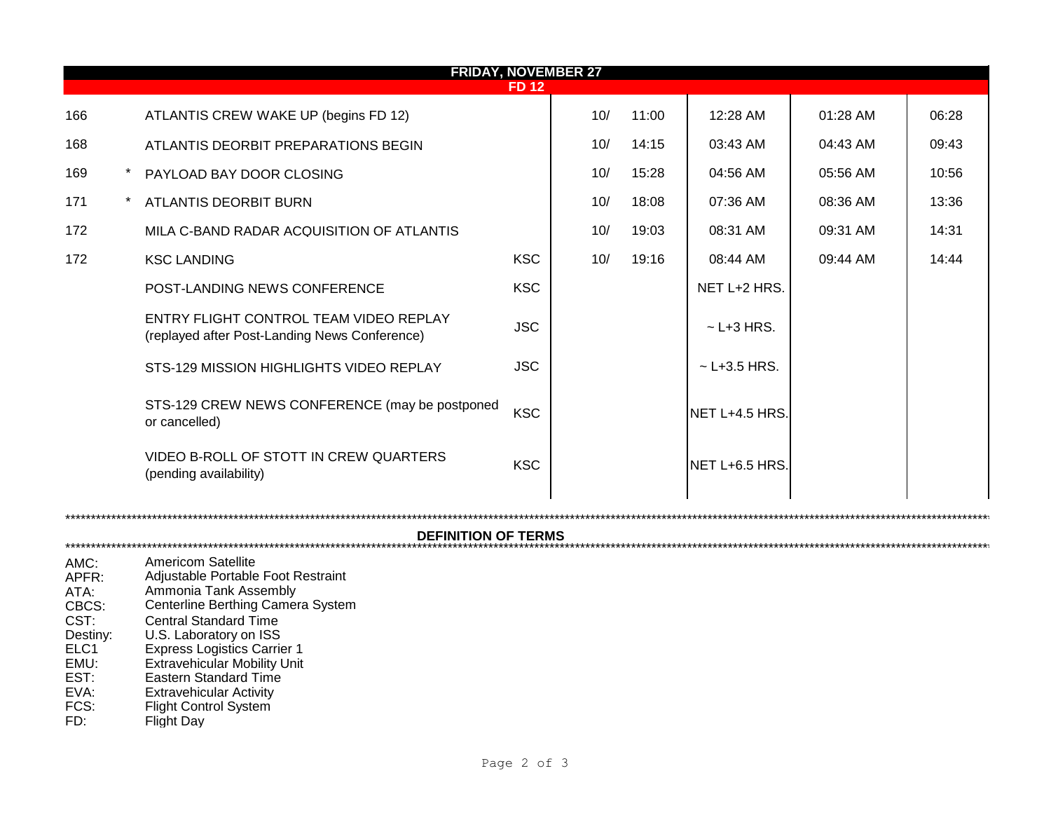| <b>FRIDAY, NOVEMBER 27</b>               |  |                                                                                                                                                                       |             |  |     |       |                  |          |       |  |  |
|------------------------------------------|--|-----------------------------------------------------------------------------------------------------------------------------------------------------------------------|-------------|--|-----|-------|------------------|----------|-------|--|--|
|                                          |  |                                                                                                                                                                       | <b>FD12</b> |  |     |       |                  |          |       |  |  |
| 166                                      |  | ATLANTIS CREW WAKE UP (begins FD 12)                                                                                                                                  |             |  | 10/ | 11:00 | 12:28 AM         | 01:28 AM | 06:28 |  |  |
| 168                                      |  | ATLANTIS DEORBIT PREPARATIONS BEGIN                                                                                                                                   |             |  | 10/ | 14:15 | 03:43 AM         | 04:43 AM | 09:43 |  |  |
| 169                                      |  | PAYLOAD BAY DOOR CLOSING                                                                                                                                              |             |  | 10/ | 15:28 | 04:56 AM         | 05:56 AM | 10:56 |  |  |
| 171                                      |  | ATLANTIS DEORBIT BURN                                                                                                                                                 |             |  | 10/ | 18:08 | 07:36 AM         | 08:36 AM | 13:36 |  |  |
| 172                                      |  | MILA C-BAND RADAR ACQUISITION OF ATLANTIS                                                                                                                             |             |  | 10/ | 19:03 | 08:31 AM         | 09:31 AM | 14:31 |  |  |
| 172                                      |  | <b>KSC LANDING</b>                                                                                                                                                    | <b>KSC</b>  |  | 10/ | 19:16 | 08:44 AM         | 09:44 AM | 14:44 |  |  |
|                                          |  | POST-LANDING NEWS CONFERENCE                                                                                                                                          | <b>KSC</b>  |  |     |       | NET L+2 HRS.     |          |       |  |  |
|                                          |  | ENTRY FLIGHT CONTROL TEAM VIDEO REPLAY<br>(replayed after Post-Landing News Conference)                                                                               | <b>JSC</b>  |  |     |       | $~$ - L+3 HRS.   |          |       |  |  |
|                                          |  | STS-129 MISSION HIGHLIGHTS VIDEO REPLAY                                                                                                                               | <b>JSC</b>  |  |     |       | $~$ - L+3.5 HRS. |          |       |  |  |
|                                          |  | STS-129 CREW NEWS CONFERENCE (may be postponed<br>or cancelled)                                                                                                       | <b>KSC</b>  |  |     |       | NET L+4.5 HRS.   |          |       |  |  |
|                                          |  | VIDEO B-ROLL OF STOTT IN CREW QUARTERS<br>(pending availability)                                                                                                      | <b>KSC</b>  |  |     |       | NET L+6.5 HRS.   |          |       |  |  |
| <b>DEFINITION OF TERMS</b>               |  |                                                                                                                                                                       |             |  |     |       |                  |          |       |  |  |
|                                          |  |                                                                                                                                                                       |             |  |     |       |                  |          |       |  |  |
| AMC:<br>APFR:<br>ATA:<br>CBCS:<br>CST:   |  | <b>Americom Satellite</b><br>Adjustable Portable Foot Restraint<br>Ammonia Tank Assembly<br>Centerline Berthing Camera System<br><b>Central Standard Time</b>         |             |  |     |       |                  |          |       |  |  |
| Destiny:<br>ELC1<br>EMU:<br>EST:<br>EVA: |  | U.S. Laboratory on ISS<br><b>Express Logistics Carrier 1</b><br><b>Extravehicular Mobility Unit</b><br><b>Eastern Standard Time</b><br><b>Extravehicular Activity</b> |             |  |     |       |                  |          |       |  |  |
| FCS:                                     |  | <b>Flight Control System</b>                                                                                                                                          |             |  |     |       |                  |          |       |  |  |

FD: Flight Day